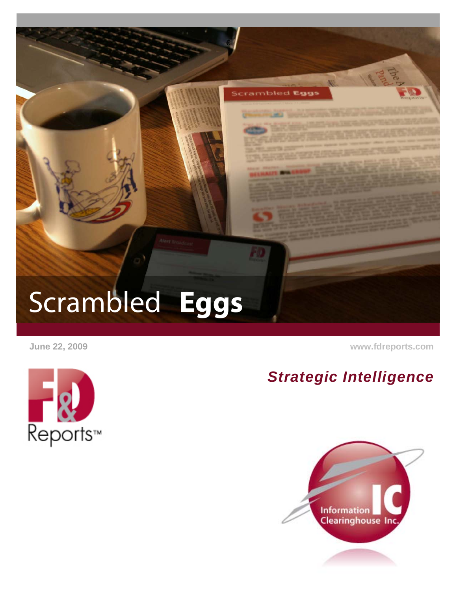

 **June 22, 2009 [www.fdreports.com](http://www.fdreports.com/)**

# Reports™

### *Strategic Intelligence*

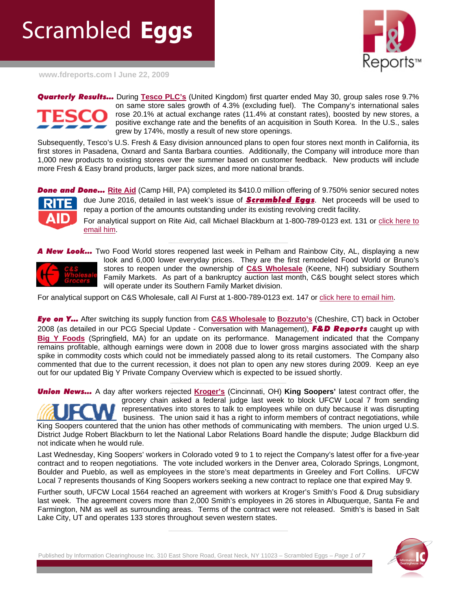## Scrambled **Eggs**



**[www.fdreports.com](http://www.fdreports.com/) I June 22, 2009**

*Quarterly Results…* During **[Tesco PLC's](http://www.fdreports.com/fd/member/company_details.cfm?cid=10221)** (United Kingdom) first quarter ended May 30, group sales rose 9.7% on same store sales growth of 4.3% (excluding fuel). The Company's international sales rose 20.1% at actual exchange rates (11.4% at constant rates), boosted by new stores, a positive exchange rate and the benefits of an acquisition in South Korea. In the U.S., sales grew by 174%, mostly a result of new store openings.

Subsequently, Tesco's U.S. Fresh & Easy division announced plans to open four stores next month in California, its first stores in Pasadena, Oxnard and Santa Barbara counties. Additionally, the Company will introduce more than 1,000 new products to existing stores over the summer based on customer feedback. New products will include more Fresh & Easy brand products, larger pack sizes, and more national brands.

**Done and Done...** [Rite Aid](http://www.fdreports.com/fd/member/company_details.cfm?cid=9729) (Camp Hill, PA) completed its \$410.0 million offering of 9.750% senior secured notes due June 2016, detailed in last week's issue of *[Scrambled Eggs](http://www.fdreports.com/fd/reports/report_show.cfm?rid=12896)*. Net proceeds will be used to repay a portion of the amounts outstanding under its existing revolving credit facility.

**\_\_\_\_\_\_\_\_\_\_\_\_\_\_\_\_\_\_\_\_\_\_\_\_\_\_\_\_\_\_\_\_\_\_\_\_** 

For analytical support on Rite Aid, call Michael Blackburn at 1-800-789-0123 ext. 131 or click here to [email him.](mailto:mikeb@fdreports.com?subject=Rite%20Aid)

**\_\_\_\_\_\_\_\_\_\_\_\_\_\_\_\_\_\_\_\_\_\_\_\_\_\_\_\_\_\_\_\_\_\_\_\_**  *New Look...* Two Food World stores reopened last week in Pelham and Rainbow City, AL, displaying a new



look and 6,000 lower everyday prices. They are the first remodeled Food World or Bruno's stores to reopen under the ownership of **[C&S Wholesale](http://www.fdreports.com/fd/member/company_details.cfm?cid=10322)** (Keene, NH) subsidiary Southern Family Markets. As part of a bankruptcy auction last month, C&S bought select stores which will operate under its Southern Family Market division.

For analytical support on C&S Wholesale, call Al Furst at 1-800-789-0123 ext. 147 or [click here to email him](mailto:albertf@fdreports.com).

*Eye on Y…* After switching its supply function from **[C&S Wholesale](http://www.fdreports.com/fd/member/company_details.cfm?cid=10322)** to **[Bozzuto's](http://www.fdreports.com/fd/member/company_details.cfm?cid=10319)** (Cheshire, CT) back in October 2008 (as detailed in our PCG Special Update - Conversation with Management), *F&D Reports* caught up with **[Big Y Foods](http://www.fdreports.com/fd/member/company_details.cfm?cid=10404)** (Springfield, MA) for an update on its performance. Management indicated that the Company remains profitable, although earnings were down in 2008 due to lower gross margins associated with the sharp spike in commodity costs which could not be immediately passed along to its retail customers. The Company also commented that due to the current recession, it does not plan to open any new stores during 2009. Keep an eye out for our updated Big Y Private Company Overview which is expected to be issued shortly.

**\_\_\_\_\_\_\_\_\_\_\_\_\_\_\_\_\_\_\_\_\_\_\_\_\_\_\_\_\_\_\_\_\_\_\_** 

**\_\_\_\_\_\_\_\_\_\_\_\_\_\_\_\_\_\_\_\_\_\_\_\_\_\_\_\_\_\_\_\_\_\_\_\_** 

*Union News…* A day after workers rejected **[Kroger's](http://www.fdreports.com/fd/member/company_details.cfm?cid=10417)** (Cincinnati, OH) **King Soopers'** latest contract offer, the grocery chain asked a federal judge last week to block UFCW Local 7 from sending representatives into stores to talk to employees while on duty because it was disrupting business. The union said it has a right to inform members of contract negotiations, while King Soopers countered that the union has other methods of communicating with members. The union urged U.S. District Judge Robert Blackburn to let the National Labor Relations Board handle the dispute; Judge Blackburn did not indicate when he would rule.

Last Wednesday, King Soopers' workers in Colorado voted 9 to 1 to reject the Company's latest offer for a five-year contract and to reopen negotiations. The vote included workers in the Denver area, Colorado Springs, Longmont, Boulder and Pueblo, as well as employees in the store's meat departments in Greeley and Fort Collins. UFCW Local 7 represents thousands of King Soopers workers seeking a new contract to replace one that expired May 9.

Further south, UFCW Local 1564 reached an agreement with workers at Kroger's Smith's Food & Drug subsidiary last week. The agreement covers more than 2,000 Smith's employees in 26 stores in Albuquerque, Santa Fe and Farmington, NM as well as surrounding areas. Terms of the contract were not released. Smith's is based in Salt Lake City, UT and operates 133 stores throughout seven western states.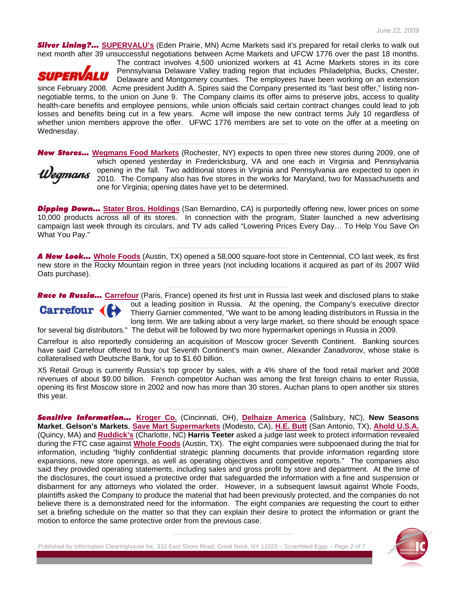*Silver Lining?…* **[SUPERVALU's](http://www.fdreports.com/fd/member/company_details.cfm?cid=10220)** (Eden Prairie, MN) Acme Markets said it's prepared for retail clerks to walk out next month after 39 unsuccessful negotiations between Acme Markets and UFCW 1776 over the past 18 months.



Wednesday.

The contract involves 4,500 unionized workers at 41 Acme Markets stores in its core Pennsylvania Delaware Valley trading region that includes Philadelphia, Bucks, Chester, Delaware and Montgomery counties. The employees have been working on an extension since February 2008. Acme president Judith A. Spires said the Company presented its "last best offer," listing nonnegotiable terms, to the union on June 9. The Company claims its offer aims to preserve jobs, access to quality health-care benefits and employee pensions, while union officials said certain contract changes could lead to job losses and benefits being cut in a few years. Acme will impose the new contract terms July 10 regardless of whether union members approve the offer. UFWC 1776 members are set to vote on the offer at a meeting on

*New Stores…* **[Wegmans Food Markets](http://www.fdreports.com/fd/member/company_details.cfm?cid=10343)** (Rochester, NY) expects to open three new stores during 2009, one of which opened yesterday in Fredericksburg, VA and one each in Virginia and Pennsylvania opening in the fall. Two additional stores in Virginia and Pennsylvania are expected to open in Vegmans 2010. The Company also has five stores in the works for Maryland, two for Massachusetts and one for Virginia; opening dates have yet to be determined.

**\_\_\_\_\_\_\_\_\_\_\_\_\_\_\_\_\_\_\_\_\_\_\_\_\_\_\_\_\_\_\_\_\_\_\_\_** 

*Dipping Down…* **[Stater Bros. Holdings](http://www.fdreports.com/fd/member/company_details.cfm?cid=10219)** (San Bernardino, CA) is purportedly offering new, lower prices on some 10,000 products across all of its stores. In connection with the program, Stater launched a new advertising campaign last week through its circulars, and TV ads called "Lowering Prices Every Day… To Help You Save On What You Pay."

**\_\_\_\_\_\_\_\_\_\_\_\_\_\_\_\_\_\_\_\_\_\_\_\_\_\_\_\_\_\_\_\_\_\_\_\_**

*A New Look…* **[Whole Foods](http://www.fdreports.com/fd/member/company_details.cfm?cid=10207)** (Austin, TX) opened a 58,000 square-foot store in Centennial, CO last week, its first new store in the Rocky Mountain region in three years (not including locations it acquired as part of its 2007 Wild Oats purchase).

**\_\_\_\_\_\_\_\_\_\_\_\_\_\_\_\_\_\_\_\_\_\_\_\_\_\_\_\_\_\_\_\_\_\_\_\_** 

**\_\_\_\_\_\_\_\_\_\_\_\_\_\_\_\_\_\_\_\_\_\_\_\_\_\_\_\_\_\_\_\_\_\_\_\_** 

*Race to Russia…* **[Carrefour](http://www.fdreports.com/fd/member/company_details.cfm?cid=10101)** (Paris, France) opened its first unit in Russia last week and disclosed plans to stake out a leading position in Russia. At the opening, the Company's executive director  $Garrefour$  ( Thierry Garnier commented, "We want to be among leading distributors in Russia in the long term. We are talking about a very large market, so there should be enough space for several big distributors." The debut will be followed by two more hypermarket openings in Russia in 2009.

Carrefour is also reportedly considering an acquisition of Moscow grocer Seventh Continent. Banking sources have said Carrefour offered to buy out Seventh Continent's main owner, Alexander Zanadvorov, whose stake is collateralised with Deutsche Bank, for up to \$1.60 billion.

X5 Retail Group is currently Russia's top grocer by sales, with a 4% share of the food retail market and 2008 revenues of about \$9.00 billion. French competitor Auchan was among the first foreign chains to enter Russia, opening its first Moscow store in 2002 and now has more than 30 stores. Auchan plans to open another six stores this year.

**\_\_\_\_\_\_\_\_\_\_\_\_\_\_\_\_\_\_\_\_\_\_\_\_\_\_\_\_\_\_\_\_\_\_\_\_** 

*Sensitive Information…* **[Kroger Co.](http://www.fdreports.com/fd/member/company_details.cfm?cid=10417)** (Cincinnati, OH), **[Delhaize America](http://www.fdreports.com/fd/member/company_details.cfm?cid=10211)** (Salisbury, NC), **New Seasons Market**, **Gelson's Markets**, **[Save Mart Supermarkets](http://www.fdreports.com/fd/member/company_details.cfm?cid=10339)** (Modesto, CA), **[H.E. Butt](http://www.fdreports.com/fd/member/company_details.cfm?cid=10359)** (San Antonio, TX), **[Ahold U.S.A.](http://www.fdreports.com/fd/member/company_details.cfm?cid=10210)** (Quincy, MA) and **[Ruddick's](http://www.fdreports.com/fd/member/company_details.cfm?cid=10215)** (Charlotte, NC) **Harris Teeter** asked a judge last week to protect information revealed during the FTC case against **[Whole Foods](http://www.fdreports.com/fd/member/company_details.cfm?cid=10207)** (Austin, TX). The eight companies were subpoenaed during the trial for information, including "highly confidential strategic planning documents that provide information regarding store expansions, new store openings, as well as operating objectives and competitive reports." The companies also said they provided operating statements, including sales and gross profit by store and department. At the time of the disclosures, the court issued a protective order that safeguarded the information with a fine and suspension or disbarment for any attorneys who violated the order. However, in a subsequent lawsuit against Whole Foods, plaintiffs asked the Company to produce the material that had been previously protected, and the companies do not believe there is a demonstrated need for the information. The eight companies are requesting the court to either set a briefing schedule on the matter so that they can explain their desire to protect the information or grant the motion to enforce the same protective order from the previous case.

Published by Information Clearinghouse Inc. 310 East Shore Road, Great Neck, NY 11023 – Scrambled Eggs – *Page 2 of 7*

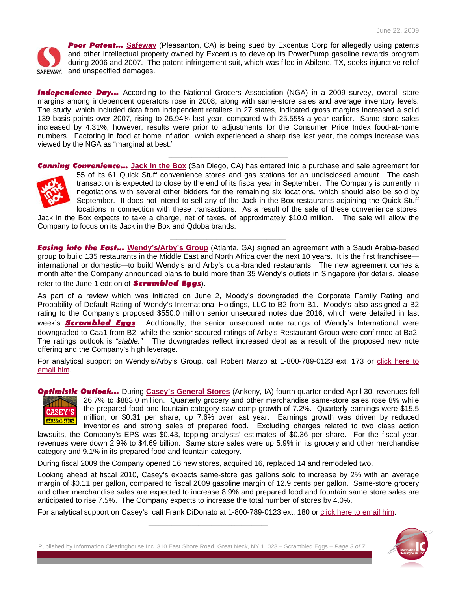

**Poor Patent...** [Safeway](http://www.fdreports.com/fd/member/company_details.cfm?cid=10216) (Pleasanton, CA) is being sued by Excentus Corp for allegedly using patents and other intellectual property owned by Excentus to develop its PowerPump gasoline rewards program during 2006 and 2007. The patent infringement suit, which was filed in Abilene, TX, seeks injunctive relief saFEWAY. and unspecified damages.

**Independence Day...** According to the National Grocers Association (NGA) in a 2009 survey, overall store margins among independent operators rose in 2008, along with same-store sales and average inventory levels. The study, which included data from independent retailers in 27 states, indicated gross margins increased a solid 139 basis points over 2007, rising to 26.94% last year, compared with 25.55% a year earlier. Same-store sales increased by 4.31%; however, results were prior to adjustments for the Consumer Price Index food-at-home numbers. Factoring in food at home inflation, which experienced a sharp rise last year, the comps increase was viewed by the NGA as "marginal at best."

**\_\_\_\_\_\_\_\_\_\_\_\_\_\_\_\_\_\_\_\_\_\_\_\_\_\_\_\_\_\_\_\_\_\_\_\_** 

**\_\_\_\_\_\_\_\_\_\_\_\_\_\_\_\_\_\_\_\_\_\_\_\_\_\_\_\_\_\_\_\_\_\_\_\_** 

*Canning Convenience…* **[Jack in the Box](http://www.fdreports.com/fd/member/company_details.cfm?cid=10244)** (San Diego, CA) has entered into a purchase and sale agreement for 55 of its 61 Quick Stuff convenience stores and gas stations for an undisclosed amount. The cash transaction is expected to close by the end of its fiscal year in September. The Company is currently in negotiations with several other bidders for the remaining six locations, which should also be sold by September. It does not intend to sell any of the Jack in the Box restaurants adjoining the Quick Stuff locations in connection with these transactions. As a result of the sale of these convenience stores,

Jack in the Box expects to take a charge, net of taxes, of approximately \$10.0 million. The sale will allow the Company to focus on its Jack in the Box and Qdoba brands.

**\_\_\_\_\_\_\_\_\_\_\_\_\_\_\_\_\_\_\_\_\_\_\_\_\_\_\_\_\_\_\_\_\_\_\_** 

*Easing into the East…* **[Wendy's/Arby's Group](http://www.fdreports.com/fd/member/company_details.cfm?cid=10245)** (Atlanta, GA) signed an agreement with a Saudi Arabia-based group to build 135 restaurants in the Middle East and North Africa over the next 10 years. It is the first franchisee international or domestic—to build Wendy's and Arby's dual-branded restaurants. The new agreement comes a month after the Company announced plans to build more than 35 Wendy's outlets in Singapore (for details, please refer to the June 1 edition of *[Scrambled Eggs](http://www.fdreports.com/fd/reports/report_show.cfm?rid=12781)*).

As part of a review which was initiated on June 2, Moody's downgraded the Corporate Family Rating and Probability of Default Rating of Wendy's International Holdings, LLC to B2 from B1. Moody's also assigned a B2 rating to the Company's proposed \$550.0 million senior unsecured notes due 2016, which were detailed in last week's *[Scrambled Eggs](http://www.fdreports.com/fd/reports/report_show.cfm?rid=12896)*. Additionally, the senior unsecured note ratings of Wendy's International were downgraded to Caa1 from B2, while the senior secured ratings of Arby's Restaurant Group were confirmed at Ba2. The ratings outlook is *"stable."* The downgrades reflect increased debt as a result of the proposed new note offering and the Company's high leverage.

For analytical support on Wendy's/Arby's Group, call Robert Marzo at 1-800-789-0123 ext. 173 or click here to [email him](mailto:robertm@fdreports.com?subject=Wendy).

**\_\_\_\_\_\_\_\_\_\_\_\_\_\_\_\_\_\_\_\_\_\_\_\_\_\_\_\_\_\_\_\_\_\_\_\_** 

*Optimistic Outlook…* During **[Casey's General Stores](http://www.fdreports.com/fd/member/company_details.cfm?cid=10232)** (Ankeny, IA) fourth quarter ended April 30, revenues fell 26.7% to \$883.0 million. Quarterly grocery and other merchandise same-store sales rose 8% while the prepared food and fountain category saw comp growth of 7.2%. Quarterly earnings were \$15.5 **CASEY'S** million, or \$0.31 per share, up 7.6% over last year. Earnings growth was driven by reduced **GENERAL STORE** inventories and strong sales of prepared food. Excluding charges related to two class action

lawsuits, the Company's EPS was \$0.43, topping analysts' estimates of \$0.36 per share. For the fiscal year, revenues were down 2.9% to \$4.69 billion. Same store sales were up 5.9% in its grocery and other merchandise category and 9.1% in its prepared food and fountain category.

During fiscal 2009 the Company opened 16 new stores, acquired 16, replaced 14 and remodeled two.

Looking ahead at fiscal 2010, Casey's expects same-store gas gallons sold to increase by 2% with an average margin of \$0.11 per gallon, compared to fiscal 2009 gasoline margin of 12.9 cents per gallon. Same-store grocery and other merchandise sales are expected to increase 8.9% and prepared food and fountain same store sales are anticipated to rise 7.5%. The Company expects to increase the total number of stores by 4.0%.

For analytical support on Casey's, call Frank DiDonato at 1-800-789-0123 ext. 180 or [click here to email him](mailto:frankd@fdreports.com?subject=Casey).

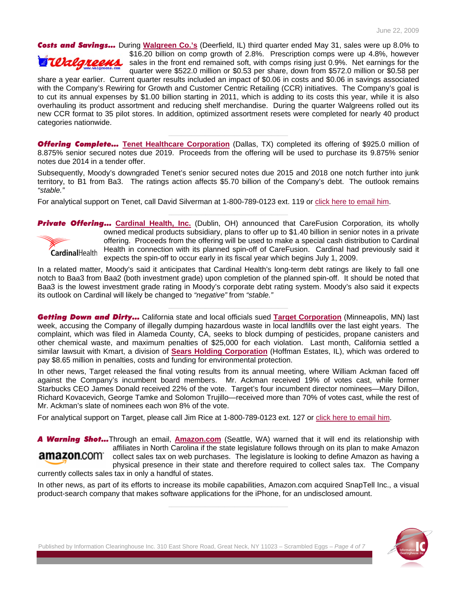*Costs and Savings…* During **[Walgreen Co.'s](http://www.fdreports.com/fd/member/company_details.cfm?cid=9942)** (Deerfield, IL) third quarter ended May 31, sales were up 8.0% to \$16.20 billion on comp growth of 2.8%. Prescription comps were up 4.8%, however Terlareens sales in the front end remained soft, with comps rising just 0.9%. Net earnings for the quarter were \$522.0 million or \$0.53 per share, down from \$572.0 million or \$0.58 per

share a year earlier. Current quarter results included an impact of \$0.06 in costs and \$0.06 in savings associated with the Company's Rewiring for Growth and Customer Centric Retailing (CCR) initiatives. The Company's goal is to cut its annual expenses by \$1.00 billion starting in 2011, which is adding to its costs this year, while it is also overhauling its product assortment and reducing shelf merchandise. During the quarter Walgreens rolled out its new CCR format to 35 pilot stores. In addition, optimized assortment resets were completed for nearly 40 product categories nationwide.

*Offering Complete…* **[Tenet Healthcare Corporation](http://www.fdreports.com/fd/member/company_details.cfm?cid=10257)** (Dallas, TX) completed its offering of \$925.0 million of 8.875% senior secured notes due 2019. Proceeds from the offering will be used to purchase its 9.875% senior notes due 2014 in a tender offer.

**\_\_\_\_\_\_\_\_\_\_\_\_\_\_\_\_\_\_\_\_\_\_\_\_\_\_\_\_\_\_\_\_\_\_\_\_** 

Subsequently, Moody's downgraded Tenet's senior secured notes due 2015 and 2018 one notch further into junk territory, to B1 from Ba3. The ratings action affects \$5.70 billion of the Company's debt. The outlook remains *"stable."*

**\_\_\_\_\_\_\_\_\_\_\_\_\_\_\_\_\_\_\_\_\_\_\_\_\_\_\_\_\_\_\_\_\_\_\_\_**

For analytical support on Tenet, call David Silverman at 1-800-789-0123 ext. 119 or [click here to email him](mailto:daves@fdreports.com?subject=Tenet).



**Private Offering...** [Cardinal Health, Inc.](http://www.fdreports.com/fd/member/company_details.cfm?cid=10249) (Dublin, OH) announced that CareFusion Corporation, its wholly owned medical products subsidiary, plans to offer up to \$1.40 billion in senior notes in a private offering. Proceeds from the offering will be used to make a special cash distribution to Cardinal Health in connection with its planned spin-off of CareFusion. Cardinal had previously said it expects the spin-off to occur early in its fiscal year which begins July 1, 2009.

In a related matter, Moody's said it anticipates that Cardinal Health's long-term debt ratings are likely to fall one notch to Baa3 from Baa2 (both investment grade) upon completion of the planned spin-off. It should be noted that Baa3 is the lowest investment grade rating in Moody's corporate debt rating system. Moody's also said it expects its outlook on Cardinal will likely be changed to *"negative"* from *"stable."*

**\_\_\_\_\_\_\_\_\_\_\_\_\_\_\_\_\_\_\_\_\_\_\_\_\_\_\_\_\_\_\_\_\_\_\_\_**

*Getting Down and Dirty…* California state and local officials sued **[Target Corporation](http://www.fdreports.com/fd/member/company_details.cfm?cid=9979)** (Minneapolis, MN) last week, accusing the Company of illegally dumping hazardous waste in local landfills over the last eight years. The complaint, which was filed in Alameda County, CA, seeks to block dumping of pesticides, propane canisters and other chemical waste, and maximum penalties of \$25,000 for each violation. Last month, California settled a similar lawsuit with Kmart, a division of **[Sears Holding Corporation](http://www.fdreports.com/fd/member/company_details.cfm?cid=9956)** (Hoffman Estates, IL), which was ordered to pay \$8.65 million in penalties, costs and funding for environmental protection.

In other news, Target released the final voting results from its annual meeting, where William Ackman faced off against the Company's incumbent board members. Mr. Ackman received 19% of votes cast, while former Starbucks CEO James Donald received 22% of the vote. Target's four incumbent director nominees—Mary Dillon, Richard Kovacevich, George Tamke and Solomon Trujillo—received more than 70% of votes cast, while the rest of Mr. Ackman's slate of nominees each won 8% of the vote.

For analytical support on Target, please call Jim Rice at 1-800-789-0123 ext. 127 or [click here to email him](mailto:jimr@fdreports.com?subject=Target).

*A Warning Shot…*Through an email, **[Amazon.com](http://www.fdreports.com/fd/member/company_details.cfm?cid=9696)** (Seattle, WA) warned that it will end its relationship with affiliates in North Carolina if the state legislature follows through on its plan to make Amazon **amazon**.com<sup>.</sup> collect sales tax on web purchases. The legislature is looking to define Amazon as having a physical presence in their state and therefore required to collect sales tax. The Company currently collects sales tax in only a handful of states.

**\_\_\_\_\_\_\_\_\_\_\_\_\_\_\_\_\_\_\_\_\_\_\_\_\_\_\_\_\_\_\_\_\_\_\_\_**

In other news, as part of its efforts to increase its mobile capabilities, Amazon.com acquired SnapTell Inc., a visual product-search company that makes software applications for the iPhone, for an undisclosed amount.

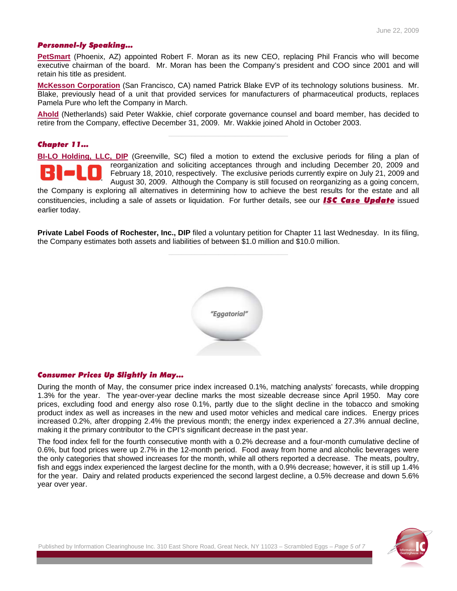#### *Personnel-ly Speaking…*

**[PetSmart](http://www.fdreports.com/fd/member/company_details.cfm?cid=9893)** (Phoenix, AZ) appointed Robert F. Moran as its new CEO, replacing Phil Francis who will become executive chairman of the board. Mr. Moran has been the Company's president and COO since 2001 and will retain his title as president.

**[McKesson Corporation](http://www.fdreports.com/fd/member/company_details.cfm?cid=10251)** (San Francisco, CA) named Patrick Blake EVP of its technology solutions business. Mr. Blake, previously head of a unit that provided services for manufacturers of pharmaceutical products, replaces Pamela Pure who left the Company in March.

**[Ahold](http://www.fdreports.com/fd/member/company_details.cfm?cid=10210)** (Netherlands) said Peter Wakkie, chief corporate governance counsel and board member, has decided to retire from the Company, effective December 31, 2009. Mr. Wakkie joined Ahold in October 2003.

**\_\_\_\_\_\_\_\_\_\_\_\_\_\_\_\_\_\_\_\_\_\_\_\_\_\_\_\_\_\_\_\_\_\_\_\_**

#### *Chapter 11…*

**[BI-LO Holding, LLC, DIP](http://www.fdreports.com/fd/member/company_details.cfm?cid=10336)** (Greenville, SC) filed a motion to extend the exclusive periods for filing a plan of reorganization and soliciting acceptances through and including December 20, 2009 and February 18, 2010, respectively. The exclusive periods currently expire on July 21, 2009 and August 30, 2009. Although the Company is still focused on reorganizing as a going concern,

the Company is exploring all alternatives in determining how to achieve the best results for the estate and all constituencies, including a sale of assets or liquidation. For further details, see our *[ISC Case Update](http://www.fdreports.com/fd/reports/report_show.cfm?rid=12949)* issued earlier today.

**Private Label Foods of Rochester, Inc., DIP** filed a voluntary petition for Chapter 11 last Wednesday. In its filing, the Company estimates both assets and liabilities of between \$1.0 million and \$10.0 million.

**\_\_\_\_\_\_\_\_\_\_\_\_\_\_\_\_\_\_\_\_\_\_\_\_\_\_\_\_\_\_\_\_\_\_\_\_**



#### *Consumer Prices Up Slightly in May…*

During the month of May, the consumer price index increased 0.1%, matching analysts' forecasts, while dropping 1.3% for the year. The year-over-year decline marks the most sizeable decrease since April 1950. May core prices, excluding food and energy also rose 0.1%, partly due to the slight decline in the tobacco and smoking product index as well as increases in the new and used motor vehicles and medical care indices. Energy prices increased 0.2%, after dropping 2.4% the previous month; the energy index experienced a 27.3% annual decline, making it the primary contributor to the CPI's significant decrease in the past year.

The food index fell for the fourth consecutive month with a 0.2% decrease and a four-month cumulative decline of 0.6%, but food prices were up 2.7% in the 12-month period. Food away from home and alcoholic beverages were the only categories that showed increases for the month, while all others reported a decrease. The meats, poultry, fish and eggs index experienced the largest decline for the month, with a 0.9% decrease; however, it is still up 1.4% for the year. Dairy and related products experienced the second largest decline, a 0.5% decrease and down 5.6% year over year.

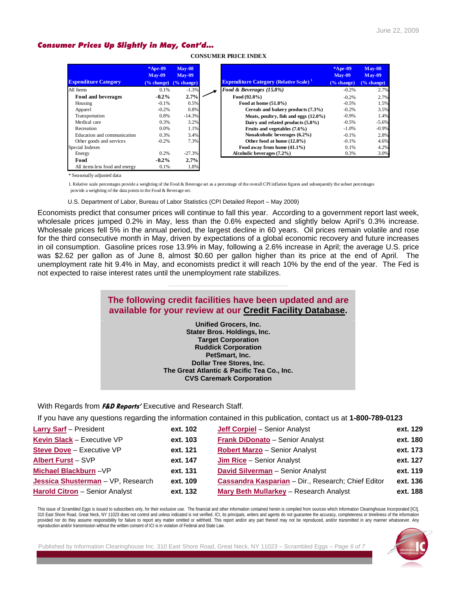#### *Consumer Prices Up Slightly in May, Cont'd…*

|                                | $*Apr-09$<br>$Mav-09$ | $Mav-08$<br>$Mav-09$ |                                                           | $*Apr-09$<br>$Mav-09$ |
|--------------------------------|-----------------------|----------------------|-----------------------------------------------------------|-----------------------|
| <b>Expenditure Category</b>    | % change)             | $(\%$ change)        | <b>Expenditure Category (Relative Scale)</b> <sup>1</sup> | $(\% \text{ change})$ |
| All Items                      | 0.1%                  | $-1.3%$              | Food & Beverages (15.8%)                                  | $-0.2%$               |
| Food and beverages             | $-0.2\%$              | 2.7%                 | Food $(92.8\%)$                                           | $-0.2%$               |
| Housing                        | $-0.1%$               | 0.5%                 | Food at home $(51.8\%)$                                   | $-0.5%$               |
| Apparel                        | $-0.2%$               | 0.8%                 | Cereals and bakery products (7.3%)                        | $-0.2%$               |
| Transportation                 | 0.8%                  | $-14.3%$             | Meats, poultry, fish and eggs (12.0%)                     | $-0.9%$               |
| Medical care                   | 0.3%                  | 3.2%                 | Dairy and related products (5.8%)                         | $-0.5%$               |
| Recreation                     | 0.0%                  | 1.1%                 | Fruits and vegetables $(7.6\%)$                           | $-1.0\%$              |
| Education and communication    | 0.3%                  | 3.4%                 | Nonalcoholic beverages (6.2%)                             | $-0.1%$               |
| Other goods and services       | $-0.2%$               | 7.3%                 | Other food at home (12.8%)                                | $-0.1%$               |
| Special Indexes                |                       |                      | Food away from home (41.1%)                               | 0.1%                  |
| Energy                         | 0.2%                  | $-27.3%$             | Alcoholic beverages (7.2%)                                | 0.3%                  |
| Food                           | $-0.2\%$              | 2.7%                 |                                                           |                       |
| All items less food and energy | 0.1%                  | 1.8%                 |                                                           |                       |

**CONSUMER PRICE INDEX**

\* Seasonally adjusted data

1. Relative scale percentages provide a weighting of the Food & Beverage set as a percentage of the overall CPI inflation figures and subsequently the subset percentages provide a weighting of the data points in the Food & Beverage set.

U.S. Department of Labor, Bureau of Labor Statistics (CPI Detailed Report – May 2009)

Economists predict that consumer prices will continue to fall this year. According to a government report last week, wholesale prices jumped 0.2% in May, less than the 0.6% expected and slightly below April's 0.3% increase. Wholesale prices fell 5% in the annual period, the largest decline in 60 years. Oil prices remain volatile and rose for the third consecutive month in May, driven by expectations of a global economic recovery and future increases in oil consumption. Gasoline prices rose 13.9% in May, following a 2.6% increase in April; the average U.S. price was \$2.62 per gallon as of June 8, almost \$0.60 per gallon higher than its price at the end of April. The unemployment rate hit 9.4% in May, and economists predict it will reach 10% by the end of the year. The Fed is not expected to raise interest rates until the unemployment rate stabilizes.

#### **The following credit facilities have been updated and are available for your review at our [Credit Facility Database](http://www.fdreports.com/fd/subscription.cfm?sbid=1030).**

**\_\_\_\_\_\_\_\_\_\_\_\_\_\_\_\_\_\_\_\_\_\_\_\_\_\_\_\_\_\_\_\_\_\_\_\_** 

**Unified Grocers, Inc. Stater Bros. Holdings, Inc. Target Corporation Ruddick Corporation PetSmart, Inc. Dollar Tree Stores, Inc. The Great Atlantic & Pacific Tea Co., Inc. CVS Caremark Corporation**

With Regards from **F&D Reports'** Executive and Research Staff.

If you have any questions regarding the information contained in this publication, contact us at **1-800-789-0123** 

| <b>Larry Sarf</b> - President         | ext. 102 | <b>Jeff Corpiel</b> - Senior Analyst               | ext. 129 |
|---------------------------------------|----------|----------------------------------------------------|----------|
| Kevin Slack - Executive VP            | ext. 103 | Frank DiDonato - Senior Analyst                    | ext. 180 |
| <b>Steve Dove - Executive VP</b>      | ext. 121 | <b>Robert Marzo - Senior Analyst</b>               | ext. 173 |
| <b>Albert Furst - SVP</b>             | ext. 147 | <b>Jim Rice - Senior Analyst</b>                   | ext. 127 |
| Michael Blackburn-VP                  | ext. 131 | David Silverman - Senior Analyst                   | ext. 119 |
| Jessica Shusterman - VP, Research     | ext. 109 | Cassandra Kasparian - Dir., Research; Chief Editor | ext. 136 |
| <b>Harold Citron</b> - Senior Analyst | ext. 132 | <b>Mary Beth Mullarkey</b> - Research Analyst      | ext. 188 |

This issue of Scrambled Eggs is issued to subscribers only, for their exclusive use. The financial and other information contained herein is compiled from sources which Information Clearinghouse Incorporated [ICI], 310 East Shore Road, Great Neck, NY 11023 does not control and unless indicated is not verified. ICI, its principals, writers and agents do not guarantee the accuracy, completeness or timeliness of the information provided nor do they assume responsibility for failure to report any matter omitted or withheld. This report and/or any part thereof may not be reproduced, and/or transmitted in any manner whatsoever. Any reproduction and/or transmission without the written consent of ICI is in violation of Federal and State Law.

Published by Information Clearinghouse Inc. 310 East Shore Road, Great Neck, NY 11023 – Scrambled Eggs – *Page 6 of 7*